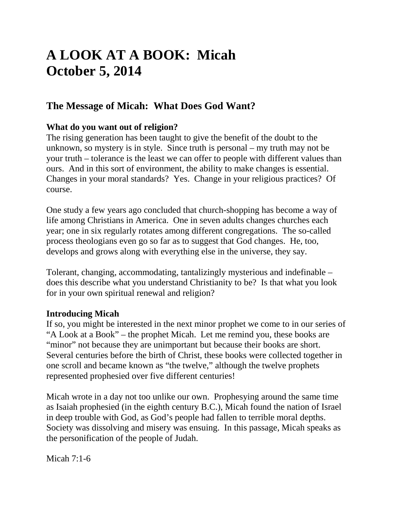# **A LOOK AT A BOOK: Micah October 5, 2014**

# **The Message of Micah: What Does God Want?**

#### **What do you want out of religion?**

The rising generation has been taught to give the benefit of the doubt to the unknown, so mystery is in style. Since truth is personal – my truth may not be your truth – tolerance is the least we can offer to people with different values than ours. And in this sort of environment, the ability to make changes is essential. Changes in your moral standards? Yes. Change in your religious practices? Of course.

One study a few years ago concluded that church-shopping has become a way of life among Christians in America. One in seven adults changes churches each year; one in six regularly rotates among different congregations. The so-called process theologians even go so far as to suggest that God changes. He, too, develops and grows along with everything else in the universe, they say.

Tolerant, changing, accommodating, tantalizingly mysterious and indefinable – does this describe what you understand Christianity to be? Is that what you look for in your own spiritual renewal and religion?

#### **Introducing Micah**

If so, you might be interested in the next minor prophet we come to in our series of "A Look at a Book" – the prophet Micah. Let me remind you, these books are "minor" not because they are unimportant but because their books are short. Several centuries before the birth of Christ, these books were collected together in one scroll and became known as "the twelve," although the twelve prophets represented prophesied over five different centuries!

Micah wrote in a day not too unlike our own. Prophesying around the same time as Isaiah prophesied (in the eighth century B.C.), Micah found the nation of Israel in deep trouble with God, as God's people had fallen to terrible moral depths. Society was dissolving and misery was ensuing. In this passage, Micah speaks as the personification of the people of Judah.

Micah 7:1-6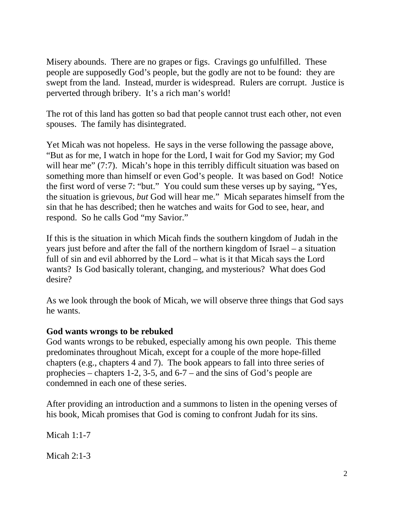Misery abounds. There are no grapes or figs. Cravings go unfulfilled. These people are supposedly God's people, but the godly are not to be found: they are swept from the land. Instead, murder is widespread. Rulers are corrupt. Justice is perverted through bribery. It's a rich man's world!

The rot of this land has gotten so bad that people cannot trust each other, not even spouses. The family has disintegrated.

Yet Micah was not hopeless. He says in the verse following the passage above, "But as for me, I watch in hope for the Lord, I wait for God my Savior; my God will hear me" (7:7). Micah's hope in this terribly difficult situation was based on something more than himself or even God's people. It was based on God! Notice the first word of verse 7: "but." You could sum these verses up by saying, "Yes, the situation is grievous, *but* God will hear me." Micah separates himself from the sin that he has described; then he watches and waits for God to see, hear, and respond. So he calls God "my Savior."

If this is the situation in which Micah finds the southern kingdom of Judah in the years just before and after the fall of the northern kingdom of Israel – a situation full of sin and evil abhorred by the Lord – what is it that Micah says the Lord wants? Is God basically tolerant, changing, and mysterious? What does God desire?

As we look through the book of Micah, we will observe three things that God says he wants.

#### **God wants wrongs to be rebuked**

God wants wrongs to be rebuked, especially among his own people. This theme predominates throughout Micah, except for a couple of the more hope-filled chapters (e.g., chapters 4 and 7). The book appears to fall into three series of prophecies – chapters 1-2, 3-5, and 6-7 – and the sins of God's people are condemned in each one of these series.

After providing an introduction and a summons to listen in the opening verses of his book, Micah promises that God is coming to confront Judah for its sins.

Micah 1:1-7

Micah 2:1-3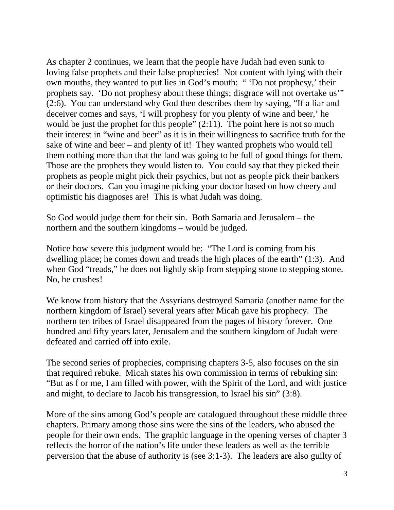As chapter 2 continues, we learn that the people have Judah had even sunk to loving false prophets and their false prophecies! Not content with lying with their own mouths, they wanted to put lies in God's mouth: " 'Do not prophesy,' their prophets say. 'Do not prophesy about these things; disgrace will not overtake us'" (2:6). You can understand why God then describes them by saying, "If a liar and deceiver comes and says, 'I will prophesy for you plenty of wine and beer,' he would be just the prophet for this people"  $(2:11)$ . The point here is not so much their interest in "wine and beer" as it is in their willingness to sacrifice truth for the sake of wine and beer – and plenty of it! They wanted prophets who would tell them nothing more than that the land was going to be full of good things for them. Those are the prophets they would listen to. You could say that they picked their prophets as people might pick their psychics, but not as people pick their bankers or their doctors. Can you imagine picking your doctor based on how cheery and optimistic his diagnoses are! This is what Judah was doing.

So God would judge them for their sin. Both Samaria and Jerusalem – the northern and the southern kingdoms – would be judged.

Notice how severe this judgment would be: "The Lord is coming from his dwelling place; he comes down and treads the high places of the earth" (1:3). And when God "treads," he does not lightly skip from stepping stone to stepping stone. No, he crushes!

We know from history that the Assyrians destroyed Samaria (another name for the northern kingdom of Israel) several years after Micah gave his prophecy. The northern ten tribes of Israel disappeared from the pages of history forever. One hundred and fifty years later, Jerusalem and the southern kingdom of Judah were defeated and carried off into exile.

The second series of prophecies, comprising chapters 3-5, also focuses on the sin that required rebuke. Micah states his own commission in terms of rebuking sin: "But as f or me, I am filled with power, with the Spirit of the Lord, and with justice and might, to declare to Jacob his transgression, to Israel his sin" (3:8).

More of the sins among God's people are catalogued throughout these middle three chapters. Primary among those sins were the sins of the leaders, who abused the people for their own ends. The graphic language in the opening verses of chapter 3 reflects the horror of the nation's life under these leaders as well as the terrible perversion that the abuse of authority is (see 3:1-3). The leaders are also guilty of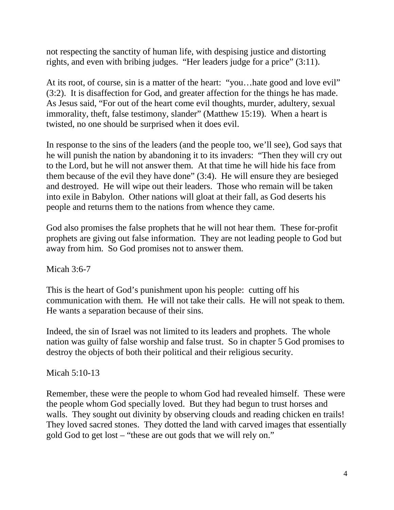not respecting the sanctity of human life, with despising justice and distorting rights, and even with bribing judges. "Her leaders judge for a price" (3:11).

At its root, of course, sin is a matter of the heart: "you…hate good and love evil" (3:2). It is disaffection for God, and greater affection for the things he has made. As Jesus said, "For out of the heart come evil thoughts, murder, adultery, sexual immorality, theft, false testimony, slander" (Matthew 15:19). When a heart is twisted, no one should be surprised when it does evil.

In response to the sins of the leaders (and the people too, we'll see), God says that he will punish the nation by abandoning it to its invaders: "Then they will cry out to the Lord, but he will not answer them. At that time he will hide his face from them because of the evil they have done" (3:4). He will ensure they are besieged and destroyed. He will wipe out their leaders. Those who remain will be taken into exile in Babylon. Other nations will gloat at their fall, as God deserts his people and returns them to the nations from whence they came.

God also promises the false prophets that he will not hear them. These for-profit prophets are giving out false information. They are not leading people to God but away from him. So God promises not to answer them.

Micah 3:6-7

This is the heart of God's punishment upon his people: cutting off his communication with them. He will not take their calls. He will not speak to them. He wants a separation because of their sins.

Indeed, the sin of Israel was not limited to its leaders and prophets. The whole nation was guilty of false worship and false trust. So in chapter 5 God promises to destroy the objects of both their political and their religious security.

Micah 5:10-13

Remember, these were the people to whom God had revealed himself. These were the people whom God specially loved. But they had begun to trust horses and walls. They sought out divinity by observing clouds and reading chicken en trails! They loved sacred stones. They dotted the land with carved images that essentially gold God to get lost – "these are out gods that we will rely on."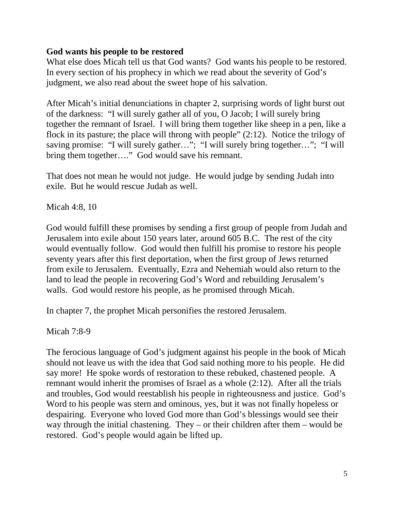# **God wants his people to be restored**

What else does Micah tell us that God wants? God wants his people to be restored. In every section of his prophecy in which we read about the severity of God's judgment, we also read about the sweet hope of his salvation.

After Micah's initial denunciations in chapter 2, surprising words of light burst out of the darkness: "I will surely gather all of you, O Jacob; I will surely bring together the remnant of Israel. I will bring them together like sheep in a pen, like a flock in its pasture; the place will throng with people" (2:12). Notice the trilogy of saving promise: "I will surely gather…"; "I will surely bring together…"; "I will bring them together…." God would save his remnant.

That does not mean he would not judge. He would judge by sending Judah into exile. But he would rescue Judah as well.

Micah 4:8, 10

God would fulfill these promises by sending a first group of people from Judah and Jerusalem into exile about 150 years later, around 605 B.C. The rest of the city would eventually follow. God would then fulfill his promise to restore his people seventy years after this first deportation, when the first group of Jews returned from exile to Jerusalem. Eventually, Ezra and Nehemiah would also return to the land to lead the people in recovering God's Word and rebuilding Jerusalem's walls. God would restore his people, as he promised through Micah.

In chapter 7, the prophet Micah personifies the restored Jerusalem.

Micah 7:8-9

The ferocious language of God's judgment against his people in the book of Micah should not leave us with the idea that God said nothing more to his people. He did say more! He spoke words of restoration to these rebuked, chastened people. A remnant would inherit the promises of Israel as a whole (2:12). After all the trials and troubles, God would reestablish his people in righteousness and justice. God's Word to his people was stern and ominous, yes, but it was not finally hopeless or despairing. Everyone who loved God more than God's blessings would see their way through the initial chastening. They – or their children after them – would be restored. God's people would again be lifted up.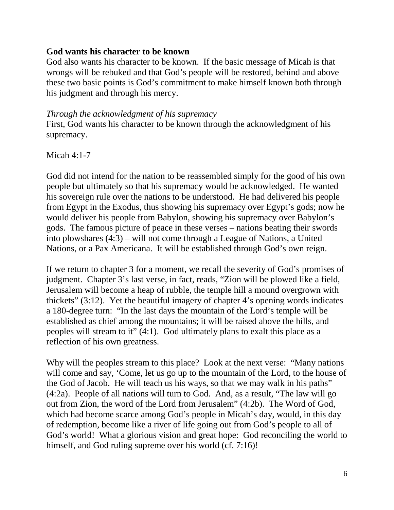# **God wants his character to be known**

God also wants his character to be known. If the basic message of Micah is that wrongs will be rebuked and that God's people will be restored, behind and above these two basic points is God's commitment to make himself known both through his judgment and through his mercy.

# *Through the acknowledgment of his supremacy*

First, God wants his character to be known through the acknowledgment of his supremacy.

Micah 4:1-7

God did not intend for the nation to be reassembled simply for the good of his own people but ultimately so that his supremacy would be acknowledged. He wanted his sovereign rule over the nations to be understood. He had delivered his people from Egypt in the Exodus, thus showing his supremacy over Egypt's gods; now he would deliver his people from Babylon, showing his supremacy over Babylon's gods. The famous picture of peace in these verses – nations beating their swords into plowshares (4:3) – will not come through a League of Nations, a United Nations, or a Pax Americana. It will be established through God's own reign.

If we return to chapter 3 for a moment, we recall the severity of God's promises of judgment. Chapter 3's last verse, in fact, reads, "Zion will be plowed like a field, Jerusalem will become a heap of rubble, the temple hill a mound overgrown with thickets" (3:12). Yet the beautiful imagery of chapter 4's opening words indicates a 180-degree turn: "In the last days the mountain of the Lord's temple will be established as chief among the mountains; it will be raised above the hills, and peoples will stream to it" (4:1). God ultimately plans to exalt this place as a reflection of his own greatness.

Why will the peoples stream to this place? Look at the next verse: "Many nations will come and say, 'Come, let us go up to the mountain of the Lord, to the house of the God of Jacob. He will teach us his ways, so that we may walk in his paths" (4:2a). People of all nations will turn to God. And, as a result, "The law will go out from Zion, the word of the Lord from Jerusalem" (4:2b). The Word of God, which had become scarce among God's people in Micah's day, would, in this day of redemption, become like a river of life going out from God's people to all of God's world! What a glorious vision and great hope: God reconciling the world to himself, and God ruling supreme over his world (cf. 7:16)!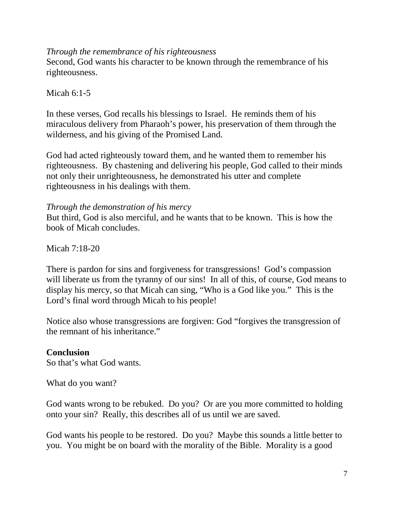#### *Through the remembrance of his righteousness*

Second, God wants his character to be known through the remembrance of his righteousness.

# Micah 6:1-5

In these verses, God recalls his blessings to Israel. He reminds them of his miraculous delivery from Pharaoh's power, his preservation of them through the wilderness, and his giving of the Promised Land.

God had acted righteously toward them, and he wanted them to remember his righteousness. By chastening and delivering his people, God called to their minds not only their unrighteousness, he demonstrated his utter and complete righteousness in his dealings with them.

# *Through the demonstration of his mercy*

But third, God is also merciful, and he wants that to be known. This is how the book of Micah concludes.

Micah 7:18-20

There is pardon for sins and forgiveness for transgressions! God's compassion will liberate us from the tyranny of our sins! In all of this, of course, God means to display his mercy, so that Micah can sing, "Who is a God like you." This is the Lord's final word through Micah to his people!

Notice also whose transgressions are forgiven: God "forgives the transgression of the remnant of his inheritance."

#### **Conclusion**

So that's what God wants.

What do you want?

God wants wrong to be rebuked. Do you? Or are you more committed to holding onto your sin? Really, this describes all of us until we are saved.

God wants his people to be restored. Do you? Maybe this sounds a little better to you. You might be on board with the morality of the Bible. Morality is a good